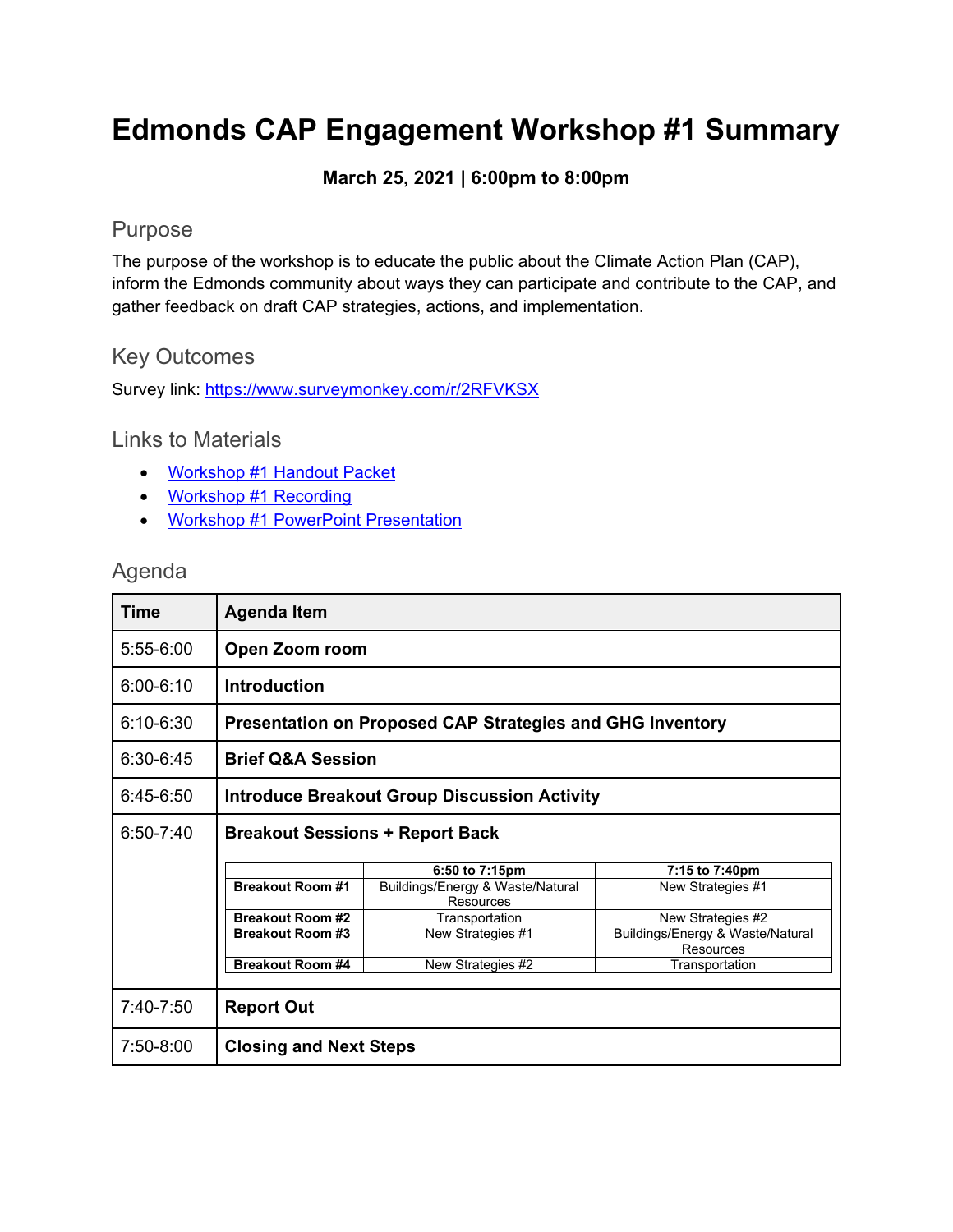# **Edmonds CAP Engagement Workshop #1 Summary**

#### **March 25, 2021 | 6:00pm to 8:00pm**

## Purpose

The purpose of the workshop is to educate the public about the Climate Action Plan (CAP), inform the Edmonds community about ways they can participate and contribute to the CAP, and gather feedback on draft CAP strategies, actions, and implementation.

## Key Outcomes

Survey link:<https://www.surveymonkey.com/r/2RFVKSX>

#### Links to Materials

- [Workshop #1 Handout Packet](https://a4504e0a-bf52-42da-9496-ba664a077eba.filesusr.com/ugd/09fdff_e62fa964f50d4e279be69b1f32c42816.pdf)
- [Workshop #1 Recording](https://www.edmondsclimate.com/project-materials)
- [Workshop #1 PowerPoint Presentation](https://a4504e0a-bf52-42da-9496-ba664a077eba.filesusr.com/ugd/09fdff_7ce32b02c5f040fb92a09151e87192ca.pdf)

## Agenda

| Time          | Agenda Item                                                      |                                               |                                               |  |  |
|---------------|------------------------------------------------------------------|-----------------------------------------------|-----------------------------------------------|--|--|
| $5:55-6:00$   | Open Zoom room                                                   |                                               |                                               |  |  |
| $6:00 - 6:10$ | <b>Introduction</b>                                              |                                               |                                               |  |  |
| $6:10 - 6:30$ | <b>Presentation on Proposed CAP Strategies and GHG Inventory</b> |                                               |                                               |  |  |
| $6:30-6:45$   | <b>Brief Q&amp;A Session</b>                                     |                                               |                                               |  |  |
| $6:45-6:50$   | <b>Introduce Breakout Group Discussion Activity</b>              |                                               |                                               |  |  |
| $6:50 - 7:40$ | <b>Breakout Sessions + Report Back</b>                           |                                               |                                               |  |  |
|               |                                                                  | 6:50 to 7:15pm                                | 7:15 to 7:40pm                                |  |  |
|               | <b>Breakout Room #1</b>                                          | Buildings/Energy & Waste/Natural<br>Resources | New Strategies #1                             |  |  |
|               | <b>Breakout Room #2</b>                                          | Transportation                                | New Strategies #2                             |  |  |
|               | <b>Breakout Room #3</b>                                          | New Strategies #1                             | Buildings/Energy & Waste/Natural<br>Resources |  |  |
|               | <b>Breakout Room #4</b>                                          | New Strategies #2                             | Transportation                                |  |  |
|               |                                                                  |                                               |                                               |  |  |
| 7:40-7:50     | <b>Report Out</b>                                                |                                               |                                               |  |  |
| 7:50-8:00     | <b>Closing and Next Steps</b>                                    |                                               |                                               |  |  |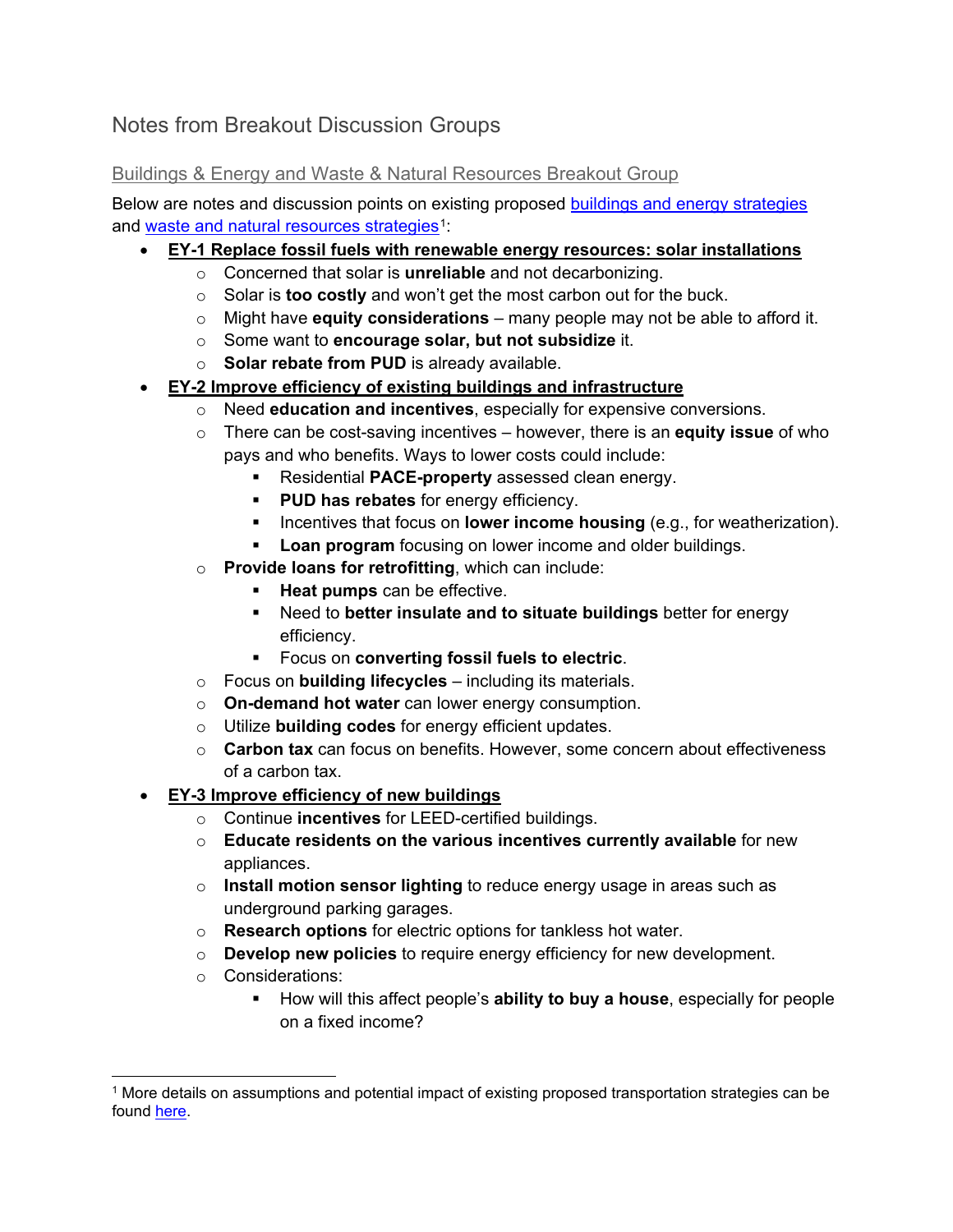## Notes from Breakout Discussion Groups

#### Buildings & Energy and Waste & Natural Resources Breakout Group

Below are notes and discussion points on existing proposed [buildings and energy strategies](https://www.edmondsclimate.com/solutions-buildings-and-energy) and [waste and natural resources strategies](https://www.edmondsclimate.com/solutions-waste-natural-resources)<sup>1</sup>:

#### • **EY-1 Replace fossil fuels with renewable energy resources: solar installations**

- o Concerned that solar is **unreliable** and not decarbonizing.
- o Solar is **too costly** and won't get the most carbon out for the buck.
- o Might have **equity considerations** many people may not be able to afford it.
- o Some want to **encourage solar, but not subsidize** it.
- o **Solar rebate from PUD** is already available.
- **EY-2 Improve efficiency of existing buildings and infrastructure**
	- o Need **education and incentives**, especially for expensive conversions.
	- o There can be cost-saving incentives however, there is an **equity issue** of who pays and who benefits. Ways to lower costs could include:
		- **Residential PACE-property** assessed clean energy.
		- **PUD has rebates** for energy efficiency.
		- Incentives that focus on **lower income housing** (e.g., for weatherization).
		- **Loan program** focusing on lower income and older buildings.
	- o **Provide loans for retrofitting**, which can include:
		- **Heat pumps** can be effective.
		- Need to **better insulate and to situate buildings** better for energy efficiency.
		- Focus on **converting fossil fuels to electric**.
	- o Focus on **building lifecycles** including its materials.
	- o **On-demand hot water** can lower energy consumption.
	- o Utilize **building codes** for energy efficient updates.
	- o **Carbon tax** can focus on benefits. However, some concern about effectiveness of a carbon tax.
- **EY-3 Improve efficiency of new buildings** 
	- o Continue **incentives** for LEED-certified buildings.
	- o **Educate residents on the various incentives currently available** for new appliances.
	- o **Install motion sensor lighting** to reduce energy usage in areas such as underground parking garages.
	- o **Research options** for electric options for tankless hot water.
	- o **Develop new policies** to require energy efficiency for new development.
	- o Considerations:
		- How will this affect people's **ability to buy a house**, especially for people on a fixed income?

<span id="page-1-0"></span><sup>1</sup> More details on assumptions and potential impact of existing proposed transportation strategies can be found [here.](https://a4504e0a-bf52-42da-9496-ba664a077eba.filesusr.com/ugd/09fdff_87da6f79a83e4255be08cd237edf7e46.pdf)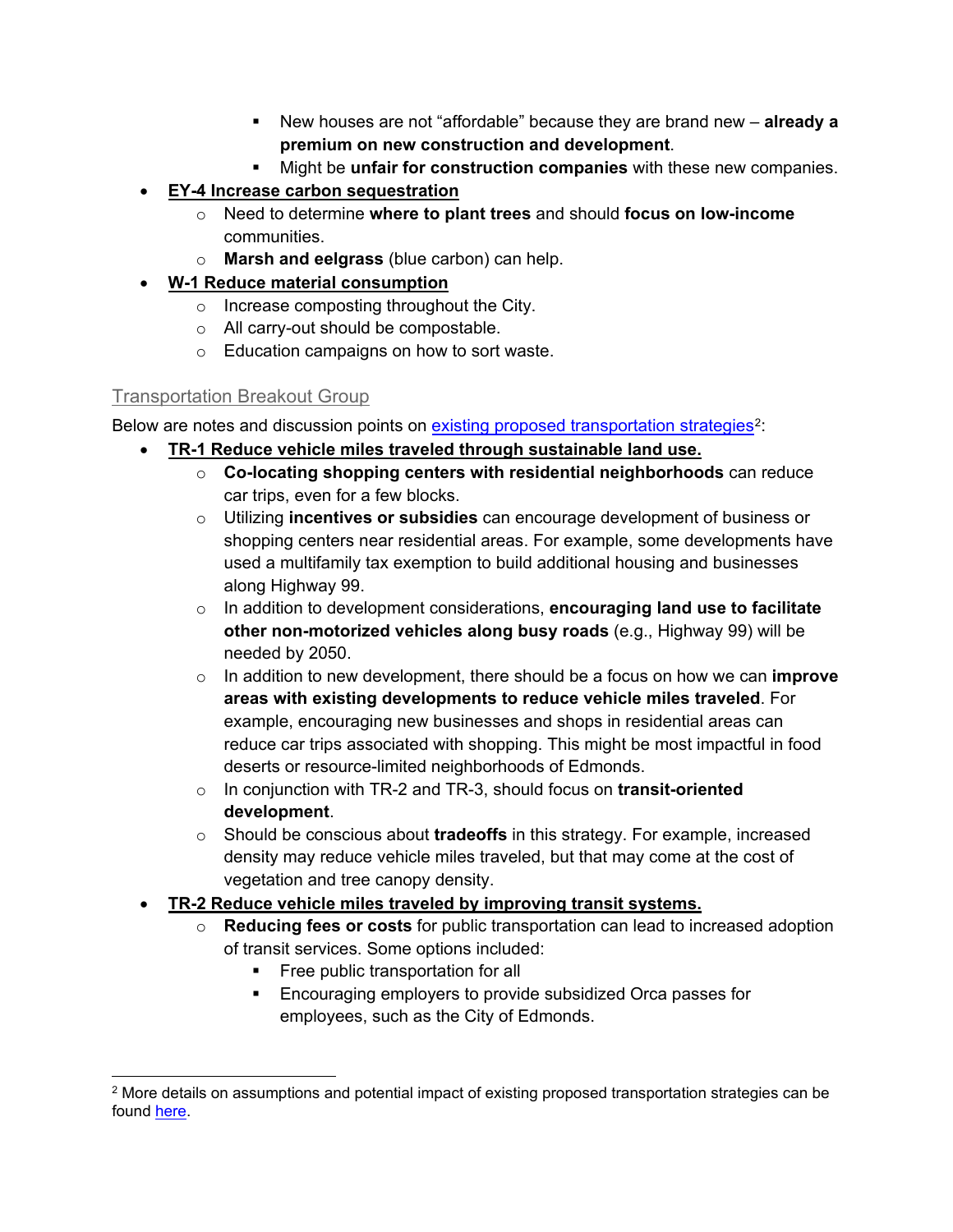- New houses are not "affordable" because they are brand new **already a premium on new construction and development**.
- Might be **unfair for construction companies** with these new companies.
- **EY-4 Increase carbon sequestration** 
	- o Need to determine **where to plant trees** and should **focus on low-income** communities.
	- o **Marsh and eelgrass** (blue carbon) can help.
- **W-1 Reduce material consumption** 
	- o Increase composting throughout the City.
	- o All carry-out should be compostable.
	- o Education campaigns on how to sort waste.

#### Transportation Breakout Group

Below are notes and discussion points on [existing proposed transportation strategies](https://www.edmondsclimate.com/solutions-transportation)<sup>[2](#page-2-0)</sup>:

- **TR-1 Reduce vehicle miles traveled through sustainable land use.**
	- o **Co-locating shopping centers with residential neighborhoods** can reduce car trips, even for a few blocks.
	- o Utilizing **incentives or subsidies** can encourage development of business or shopping centers near residential areas. For example, some developments have used a multifamily tax exemption to build additional housing and businesses along Highway 99.
	- o In addition to development considerations, **encouraging land use to facilitate other non-motorized vehicles along busy roads** (e.g., Highway 99) will be needed by 2050.
	- o In addition to new development, there should be a focus on how we can **improve areas with existing developments to reduce vehicle miles traveled**. For example, encouraging new businesses and shops in residential areas can reduce car trips associated with shopping. This might be most impactful in food deserts or resource-limited neighborhoods of Edmonds.
	- o In conjunction with TR-2 and TR-3, should focus on **transit-oriented development**.
	- o Should be conscious about **tradeoffs** in this strategy. For example, increased density may reduce vehicle miles traveled, but that may come at the cost of vegetation and tree canopy density.
- **TR-2 Reduce vehicle miles traveled by improving transit systems.**
	- o **Reducing fees or costs** for public transportation can lead to increased adoption of transit services. Some options included:
		- **Figure 1** Free public transportation for all
		- **Encouraging employers to provide subsidized Orca passes for** employees, such as the City of Edmonds.

<span id="page-2-0"></span><sup>&</sup>lt;sup>2</sup> More details on assumptions and potential impact of existing proposed transportation strategies can be found [here.](https://a4504e0a-bf52-42da-9496-ba664a077eba.filesusr.com/ugd/09fdff_87da6f79a83e4255be08cd237edf7e46.pdf)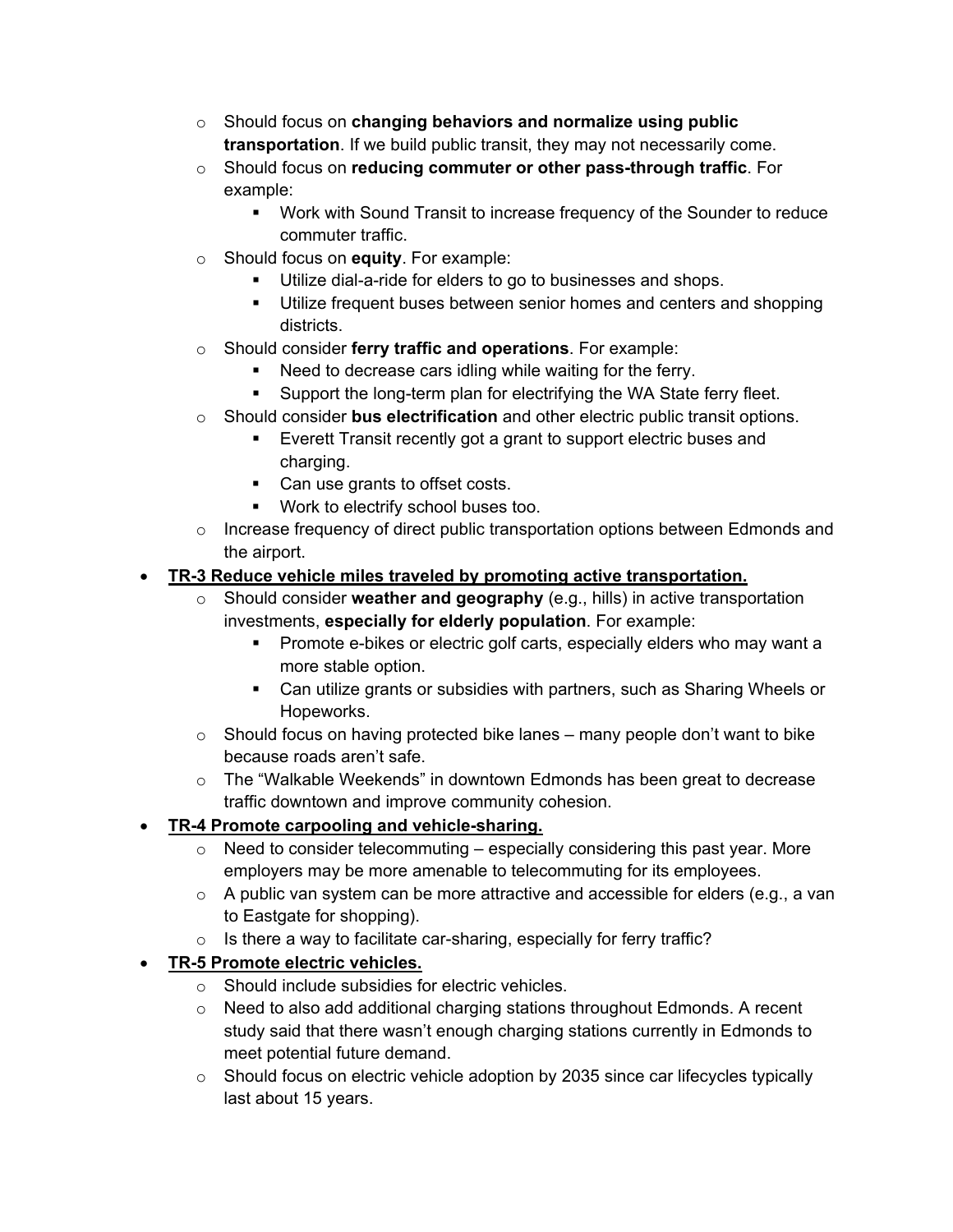- o Should focus on **changing behaviors and normalize using public transportation**. If we build public transit, they may not necessarily come.
- o Should focus on **reducing commuter or other pass-through traffic**. For example:
	- Work with Sound Transit to increase frequency of the Sounder to reduce commuter traffic.
- o Should focus on **equity**. For example:
	- **Utilize dial-a-ride for elders to go to businesses and shops.**
	- Utilize frequent buses between senior homes and centers and shopping districts.
- o Should consider **ferry traffic and operations**. For example:
	- Need to decrease cars idling while waiting for the ferry.
	- **Support the long-term plan for electrifying the WA State ferry fleet.**
- o Should consider **bus electrification** and other electric public transit options.
	- **Exerett Transit recently got a grant to support electric buses and** charging.
	- Can use grants to offset costs.
	- **Work to electrify school buses too.**
- o Increase frequency of direct public transportation options between Edmonds and the airport.

## • **TR-3 Reduce vehicle miles traveled by promoting active transportation.**

- o Should consider **weather and geography** (e.g., hills) in active transportation investments, **especially for elderly population**. For example:
	- **Promote e-bikes or electric golf carts, especially elders who may want a** more stable option.
	- Can utilize grants or subsidies with partners, such as Sharing Wheels or Hopeworks.
- $\circ$  Should focus on having protected bike lanes many people don't want to bike because roads aren't safe.
- $\circ$  The "Walkable Weekends" in downtown Edmonds has been great to decrease traffic downtown and improve community cohesion.

## • **TR-4 Promote carpooling and vehicle-sharing.**

- $\circ$  Need to consider telecommuting especially considering this past year. More employers may be more amenable to telecommuting for its employees.
- $\circ$  A public van system can be more attractive and accessible for elders (e.g., a van to Eastgate for shopping).
- $\circ$  Is there a way to facilitate car-sharing, especially for ferry traffic?

## • **TR-5 Promote electric vehicles.**

- o Should include subsidies for electric vehicles.
- o Need to also add additional charging stations throughout Edmonds. A recent study said that there wasn't enough charging stations currently in Edmonds to meet potential future demand.
- $\circ$  Should focus on electric vehicle adoption by 2035 since car lifecycles typically last about 15 years.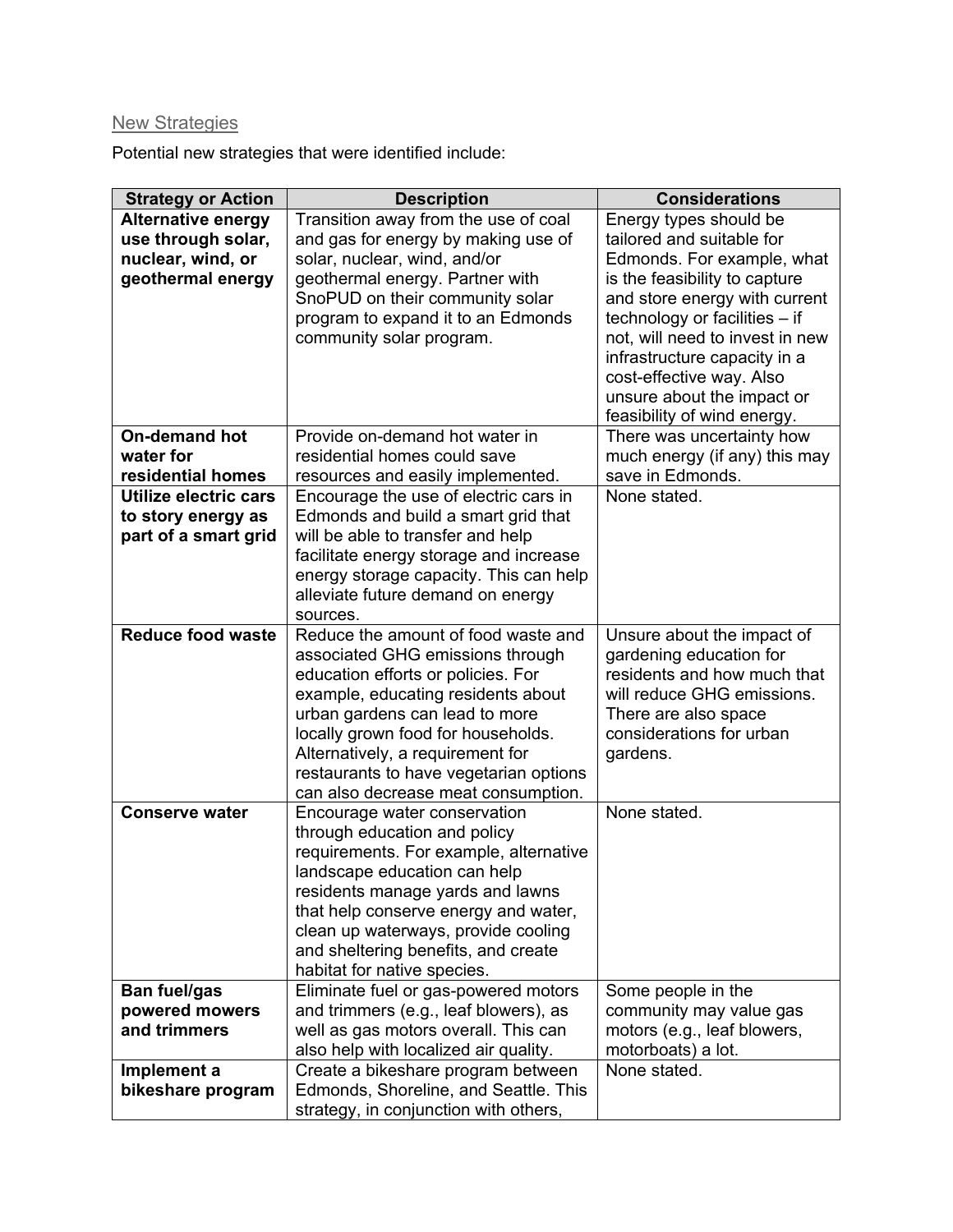## New Strategies

Potential new strategies that were identified include:

| <b>Strategy or Action</b> | <b>Description</b>                                                       | <b>Considerations</b>           |
|---------------------------|--------------------------------------------------------------------------|---------------------------------|
| <b>Alternative energy</b> | Transition away from the use of coal                                     | Energy types should be          |
| use through solar,        | and gas for energy by making use of                                      | tailored and suitable for       |
| nuclear, wind, or         | solar, nuclear, wind, and/or                                             | Edmonds. For example, what      |
| geothermal energy         | geothermal energy. Partner with                                          | is the feasibility to capture   |
|                           | SnoPUD on their community solar                                          | and store energy with current   |
|                           | program to expand it to an Edmonds                                       | technology or facilities $-$ if |
|                           | community solar program.                                                 | not, will need to invest in new |
|                           |                                                                          | infrastructure capacity in a    |
|                           |                                                                          | cost-effective way. Also        |
|                           |                                                                          | unsure about the impact or      |
|                           |                                                                          | feasibility of wind energy.     |
| <b>On-demand hot</b>      | Provide on-demand hot water in                                           | There was uncertainty how       |
| water for                 | residential homes could save                                             | much energy (if any) this may   |
| residential homes         | resources and easily implemented.                                        | save in Edmonds.                |
| Utilize electric cars     | Encourage the use of electric cars in                                    | None stated.                    |
| to story energy as        | Edmonds and build a smart grid that                                      |                                 |
| part of a smart grid      | will be able to transfer and help                                        |                                 |
|                           | facilitate energy storage and increase                                   |                                 |
|                           | energy storage capacity. This can help                                   |                                 |
|                           | alleviate future demand on energy                                        |                                 |
|                           | sources.                                                                 |                                 |
| <b>Reduce food waste</b>  | Reduce the amount of food waste and                                      | Unsure about the impact of      |
|                           | associated GHG emissions through                                         | gardening education for         |
|                           | education efforts or policies. For                                       | residents and how much that     |
|                           | example, educating residents about                                       | will reduce GHG emissions.      |
|                           | urban gardens can lead to more                                           | There are also space            |
|                           | locally grown food for households.                                       | considerations for urban        |
|                           | Alternatively, a requirement for                                         | gardens.                        |
|                           | restaurants to have vegetarian options                                   |                                 |
|                           | can also decrease meat consumption.                                      |                                 |
| <b>Conserve water</b>     | Encourage water conservation                                             | None stated.                    |
|                           | through education and policy                                             |                                 |
|                           | requirements. For example, alternative                                   |                                 |
|                           | landscape education can help                                             |                                 |
|                           | residents manage yards and lawns<br>that help conserve energy and water, |                                 |
|                           | clean up waterways, provide cooling                                      |                                 |
|                           | and sheltering benefits, and create                                      |                                 |
|                           | habitat for native species.                                              |                                 |
| <b>Ban fuel/gas</b>       | Eliminate fuel or gas-powered motors                                     | Some people in the              |
| powered mowers            | and trimmers (e.g., leaf blowers), as                                    | community may value gas         |
| and trimmers              | well as gas motors overall. This can                                     | motors (e.g., leaf blowers,     |
|                           | also help with localized air quality.                                    | motorboats) a lot.              |
| Implement a               | Create a bikeshare program between                                       | None stated.                    |
| bikeshare program         | Edmonds, Shoreline, and Seattle. This                                    |                                 |
|                           | strategy, in conjunction with others,                                    |                                 |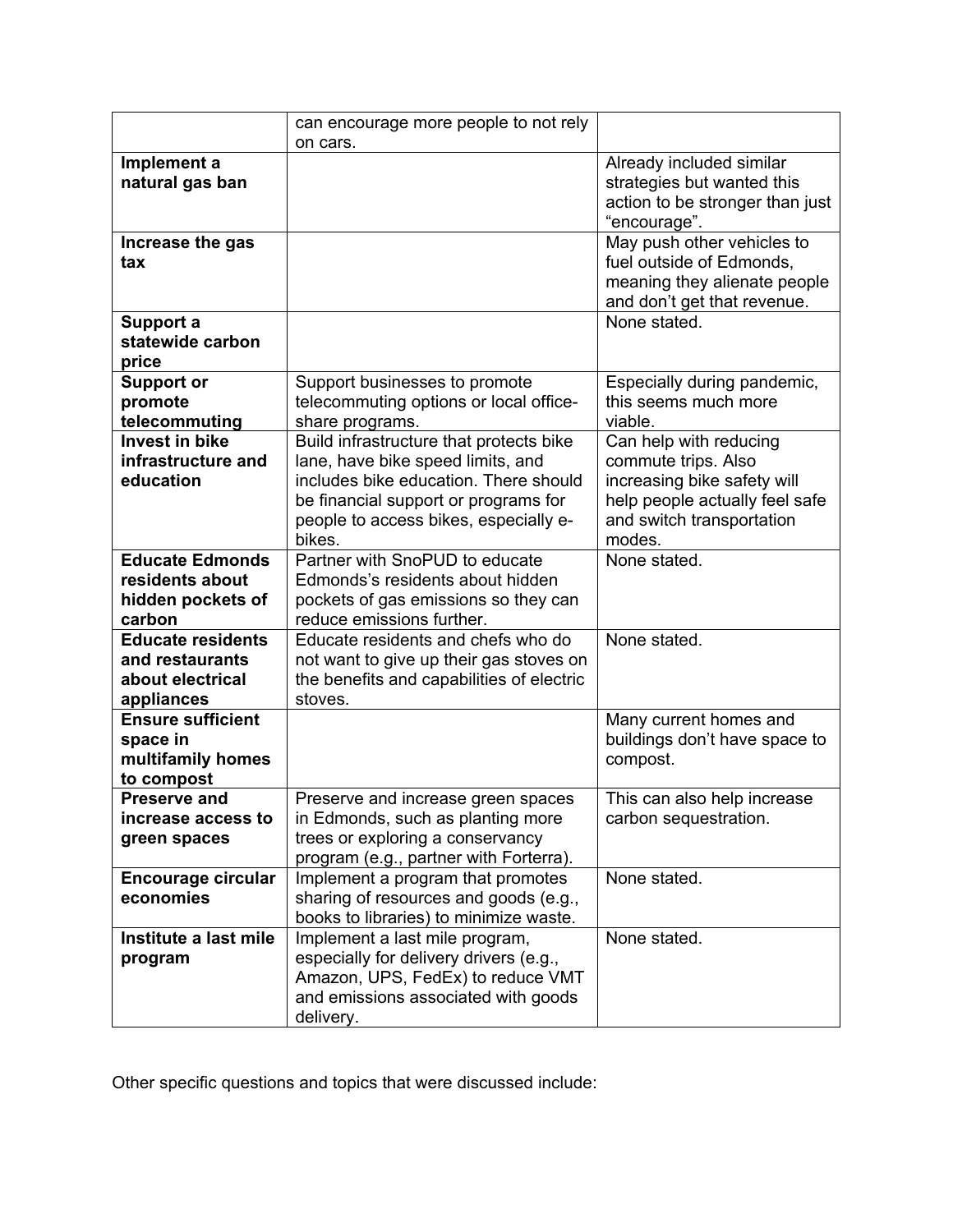|                                                                               | can encourage more people to not rely<br>on cars.                                                                                                                                                                |                                                                                                                                                       |
|-------------------------------------------------------------------------------|------------------------------------------------------------------------------------------------------------------------------------------------------------------------------------------------------------------|-------------------------------------------------------------------------------------------------------------------------------------------------------|
| Implement a<br>natural gas ban                                                |                                                                                                                                                                                                                  | Already included similar<br>strategies but wanted this<br>action to be stronger than just<br>"encourage".                                             |
| Increase the gas<br>tax                                                       |                                                                                                                                                                                                                  | May push other vehicles to<br>fuel outside of Edmonds,<br>meaning they alienate people<br>and don't get that revenue.                                 |
| Support a<br>statewide carbon<br>price                                        |                                                                                                                                                                                                                  | None stated.                                                                                                                                          |
| <b>Support or</b><br>promote<br>telecommuting                                 | Support businesses to promote<br>telecommuting options or local office-<br>share programs.                                                                                                                       | Especially during pandemic,<br>this seems much more<br>viable.                                                                                        |
| <b>Invest in bike</b><br>infrastructure and<br>education                      | Build infrastructure that protects bike<br>lane, have bike speed limits, and<br>includes bike education. There should<br>be financial support or programs for<br>people to access bikes, especially e-<br>bikes. | Can help with reducing<br>commute trips. Also<br>increasing bike safety will<br>help people actually feel safe<br>and switch transportation<br>modes. |
| <b>Educate Edmonds</b><br>residents about<br>hidden pockets of<br>carbon      | Partner with SnoPUD to educate<br>Edmonds's residents about hidden<br>pockets of gas emissions so they can<br>reduce emissions further.                                                                          | None stated.                                                                                                                                          |
| <b>Educate residents</b><br>and restaurants<br>about electrical<br>appliances | Educate residents and chefs who do<br>not want to give up their gas stoves on<br>the benefits and capabilities of electric<br>stoves.                                                                            | None stated.                                                                                                                                          |
| <b>Ensure sufficient</b><br>space in<br>multifamily homes<br>to compost       |                                                                                                                                                                                                                  | Many current homes and<br>buildings don't have space to<br>compost.                                                                                   |
| <b>Preserve and</b><br>increase access to<br>green spaces                     | Preserve and increase green spaces<br>in Edmonds, such as planting more<br>trees or exploring a conservancy<br>program (e.g., partner with Forterra).                                                            | This can also help increase<br>carbon sequestration.                                                                                                  |
| <b>Encourage circular</b><br>economies                                        | Implement a program that promotes<br>sharing of resources and goods (e.g.,<br>books to libraries) to minimize waste.                                                                                             | None stated.                                                                                                                                          |
| Institute a last mile<br>program                                              | Implement a last mile program,<br>especially for delivery drivers (e.g.,<br>Amazon, UPS, FedEx) to reduce VMT<br>and emissions associated with goods<br>delivery.                                                | None stated.                                                                                                                                          |

Other specific questions and topics that were discussed include: